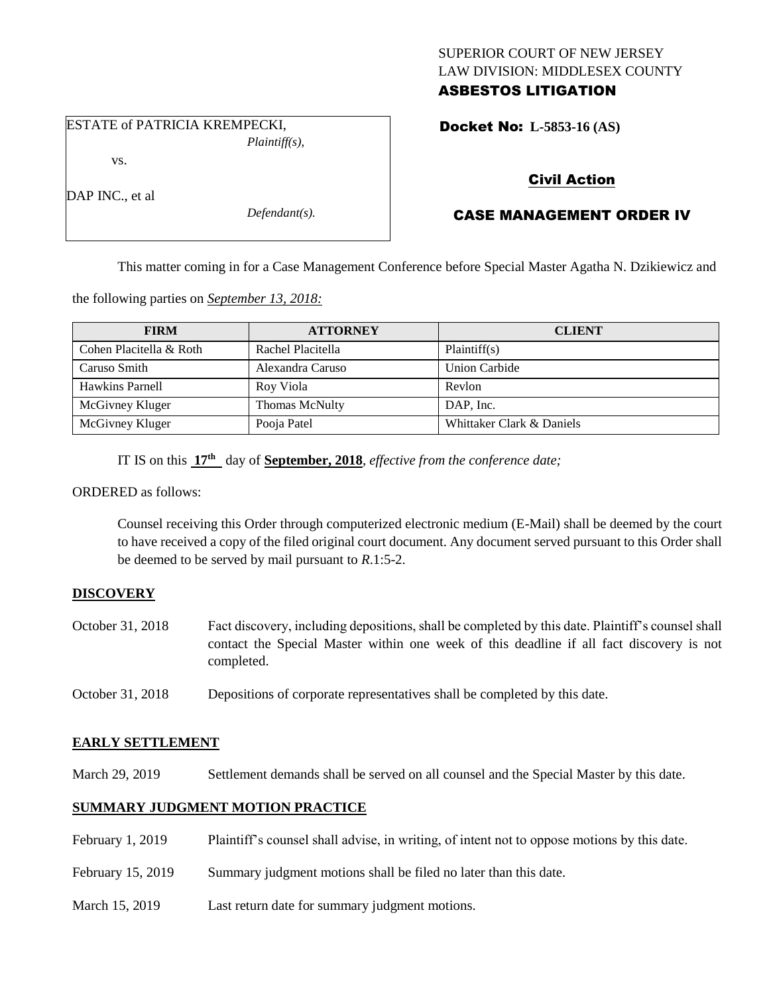## SUPERIOR COURT OF NEW JERSEY LAW DIVISION: MIDDLESEX COUNTY ASBESTOS LITIGATION

Docket No: **L-5853-16 (AS)** 

# vs.

DAP INC., et al.

*Defendant(s).*

*Plaintiff(s),*

## Civil Action

# CASE MANAGEMENT ORDER IV

This matter coming in for a Case Management Conference before Special Master Agatha N. Dzikiewicz and

the following parties on *September 13, 2018:*

ESTATE of PATRICIA KREMPECKI,

| <b>FIRM</b>             | <b>ATTORNEY</b>       | <b>CLIENT</b>             |
|-------------------------|-----------------------|---------------------------|
| Cohen Placitella & Roth | Rachel Placitella     | Plaintiff(s)              |
| Caruso Smith            | Alexandra Caruso      | <b>Union Carbide</b>      |
| Hawkins Parnell         | Roy Viola             | Revlon                    |
| McGivney Kluger         | <b>Thomas McNulty</b> | DAP. Inc.                 |
| McGivney Kluger         | Pooja Patel           | Whittaker Clark & Daniels |

IT IS on this **17 th** day of **September, 2018**, *effective from the conference date;*

ORDERED as follows:

Counsel receiving this Order through computerized electronic medium (E-Mail) shall be deemed by the court to have received a copy of the filed original court document. Any document served pursuant to this Order shall be deemed to be served by mail pursuant to *R*.1:5-2.

## **DISCOVERY**

- October 31, 2018 Fact discovery, including depositions, shall be completed by this date. Plaintiff's counsel shall contact the Special Master within one week of this deadline if all fact discovery is not completed.
- October 31, 2018 Depositions of corporate representatives shall be completed by this date.

### **EARLY SETTLEMENT**

March 29, 2019 Settlement demands shall be served on all counsel and the Special Master by this date.

## **SUMMARY JUDGMENT MOTION PRACTICE**

| February 1, 2019  | Plaintiff's counsel shall advise, in writing, of intent not to oppose motions by this date. |
|-------------------|---------------------------------------------------------------------------------------------|
| February 15, 2019 | Summary judgment motions shall be filed no later than this date.                            |
| March 15, 2019    | Last return date for summary judgment motions.                                              |